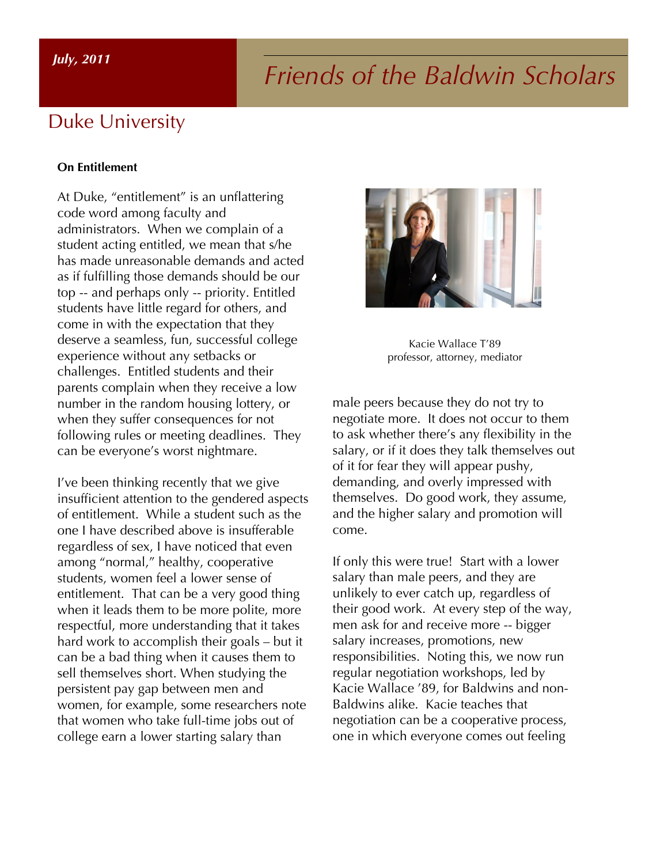# *Friends of the Baldwin Scholars*

#### Duke University

#### **On Entitlement**

At Duke, "entitlement" is an unflattering code word among faculty and administrators. When we complain of a student acting entitled, we mean that s/he has made unreasonable demands and acted as if fulfilling those demands should be our top -- and perhaps only -- priority. Entitled students have little regard for others, and come in with the expectation that they deserve a seamless, fun, successful college experience without any setbacks or challenges. Entitled students and their parents complain when they receive a low number in the random housing lottery, or when they suffer consequences for not following rules or meeting deadlines. They can be everyone's worst nightmare.

I've been thinking recently that we give insufficient attention to the gendered aspects of entitlement. While a student such as the one I have described above is insufferable regardless of sex, I have noticed that even among "normal," healthy, cooperative students, women feel a lower sense of entitlement. That can be a very good thing when it leads them to be more polite, more respectful, more understanding that it takes hard work to accomplish their goals – but it can be a bad thing when it causes them to sell themselves short. When studying the persistent pay gap between men and women, for example, some researchers note that women who take full-time jobs out of college earn a lower starting salary than



Kacie Wallace T'89 professor, attorney, mediator

male peers because they do not try to negotiate more. It does not occur to them to ask whether there's any flexibility in the salary, or if it does they talk themselves out of it for fear they will appear pushy, demanding, and overly impressed with themselves. Do good work, they assume, and the higher salary and promotion will come.

If only this were true! Start with a lower salary than male peers, and they are unlikely to ever catch up, regardless of their good work. At every step of the way, men ask for and receive more -- bigger salary increases, promotions, new responsibilities. Noting this, we now run regular negotiation workshops, led by Kacie Wallace '89, for Baldwins and non-Baldwins alike. Kacie teaches that negotiation can be a cooperative process, one in which everyone comes out feeling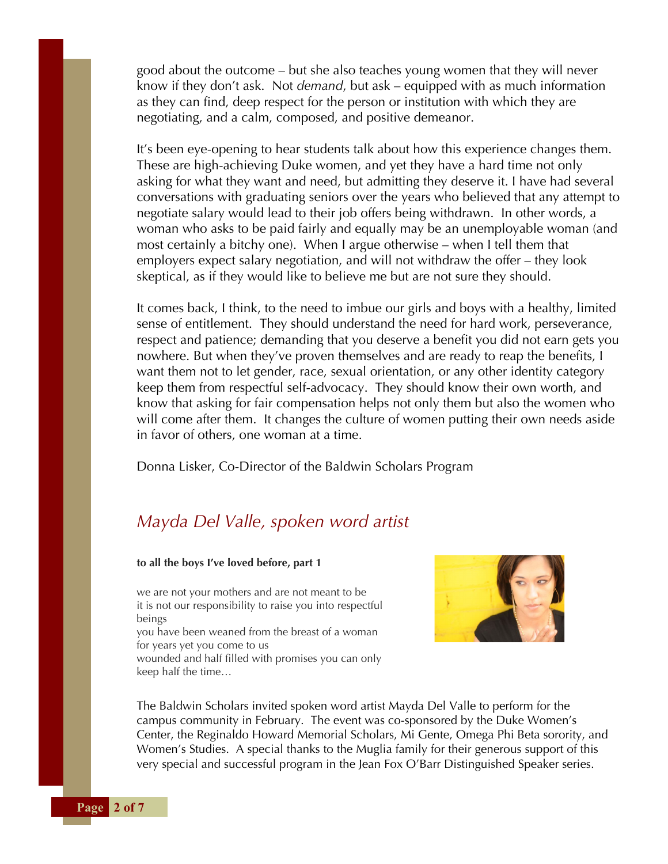good about the outcome – but she also teaches young women that they will never know if they don't ask. Not *demand*, but ask – equipped with as much information as they can find, deep respect for the person or institution with which they are negotiating, and a calm, composed, and positive demeanor.

It's been eye-opening to hear students talk about how this experience changes them. These are high-achieving Duke women, and yet they have a hard time not only asking for what they want and need, but admitting they deserve it. I have had several conversations with graduating seniors over the years who believed that any attempt to negotiate salary would lead to their job offers being withdrawn. In other words, a woman who asks to be paid fairly and equally may be an unemployable woman (and most certainly a bitchy one). When I argue otherwise – when I tell them that employers expect salary negotiation, and will not withdraw the offer – they look skeptical, as if they would like to believe me but are not sure they should.

It comes back, I think, to the need to imbue our girls and boys with a healthy, limited sense of entitlement. They should understand the need for hard work, perseverance, respect and patience; demanding that you deserve a benefit you did not earn gets you nowhere. But when they've proven themselves and are ready to reap the benefits, I want them not to let gender, race, sexual orientation, or any other identity category keep them from respectful self-advocacy. They should know their own worth, and know that asking for fair compensation helps not only them but also the women who will come after them. It changes the culture of women putting their own needs aside in favor of others, one woman at a time.

Donna Lisker, Co-Director of the Baldwin Scholars Program

#### *Mayda Del Valle, spoken word artist*

#### **to all the boys I've loved before, part 1**

we are not your mothers and are not meant to be it is not our responsibility to raise you into respectful beings

you have been weaned from the breast of a woman for years yet you come to us

wounded and half filled with promises you can only keep half the time…



The Baldwin Scholars invited spoken word artist Mayda Del Valle to perform for the campus community in February. The event was co-sponsored by the Duke Women's Center, the Reginaldo Howard Memorial Scholars, Mi Gente, Omega Phi Beta sorority, and Women's Studies. A special thanks to the Muglia family for their generous support of this very special and successful program in the Jean Fox O'Barr Distinguished Speaker series.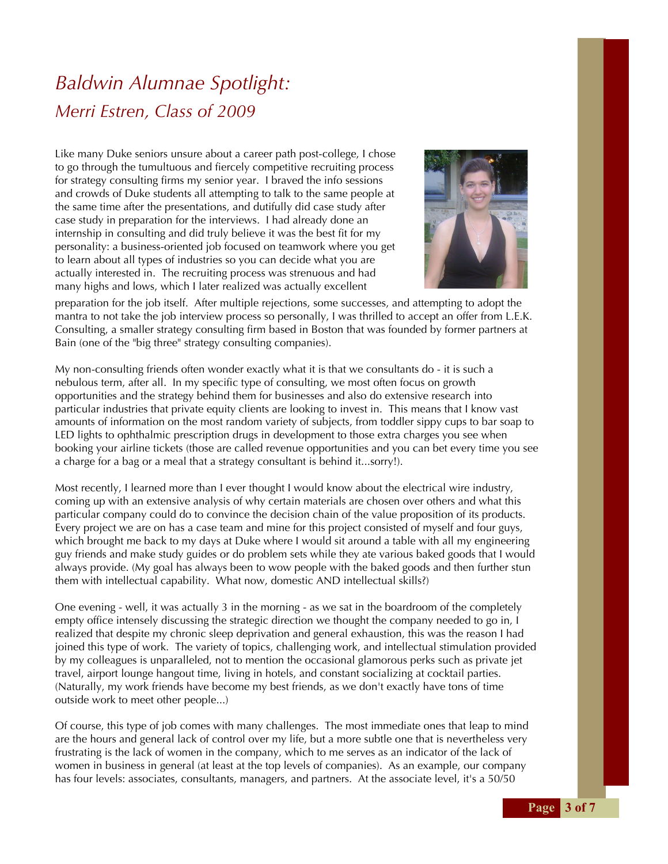# *Baldwin Alumnae Spotlight: Merri Estren, Class of 2009*

Like many Duke seniors unsure about a career path post-college, I chose to go through the tumultuous and fiercely competitive recruiting process for strategy consulting firms my senior year. I braved the info sessions and crowds of Duke students all attempting to talk to the same people at the same time after the presentations, and dutifully did case study after case study in preparation for the interviews. I had already done an internship in consulting and did truly believe it was the best fit for my personality: a business-oriented job focused on teamwork where you get to learn about all types of industries so you can decide what you are actually interested in. The recruiting process was strenuous and had many highs and lows, which I later realized was actually excellent



preparation for the job itself. After multiple rejections, some successes, and attempting to adopt the mantra to not take the job interview process so personally, I was thrilled to accept an offer from L.E.K. Consulting, a smaller strategy consulting firm based in Boston that was founded by former partners at Bain (one of the "big three" strategy consulting companies).

My non-consulting friends often wonder exactly what it is that we consultants do - it is such a nebulous term, after all. In my specific type of consulting, we most often focus on growth opportunities and the strategy behind them for businesses and also do extensive research into particular industries that private equity clients are looking to invest in. This means that I know vast amounts of information on the most random variety of subjects, from toddler sippy cups to bar soap to LED lights to ophthalmic prescription drugs in development to those extra charges you see when booking your airline tickets (those are called revenue opportunities and you can bet every time you see a charge for a bag or a meal that a strategy consultant is behind it...sorry!).

Most recently, I learned more than I ever thought I would know about the electrical wire industry, coming up with an extensive analysis of why certain materials are chosen over others and what this particular company could do to convince the decision chain of the value proposition of its products. Every project we are on has a case team and mine for this project consisted of myself and four guys, which brought me back to my days at Duke where I would sit around a table with all my engineering guy friends and make study guides or do problem sets while they ate various baked goods that I would always provide. (My goal has always been to wow people with the baked goods and then further stun them with intellectual capability. What now, domestic AND intellectual skills?)

One evening - well, it was actually 3 in the morning - as we sat in the boardroom of the completely empty office intensely discussing the strategic direction we thought the company needed to go in, I realized that despite my chronic sleep deprivation and general exhaustion, this was the reason I had joined this type of work. The variety of topics, challenging work, and intellectual stimulation provided by my colleagues is unparalleled, not to mention the occasional glamorous perks such as private jet travel, airport lounge hangout time, living in hotels, and constant socializing at cocktail parties. (Naturally, my work friends have become my best friends, as we don't exactly have tons of time outside work to meet other people...)

Of course, this type of job comes with many challenges. The most immediate ones that leap to mind are the hours and general lack of control over my life, but a more subtle one that is nevertheless very frustrating is the lack of women in the company, which to me serves as an indicator of the lack of women in business in general (at least at the top levels of companies). As an example, our company has four levels: associates, consultants, managers, and partners. At the associate level, it's a 50/50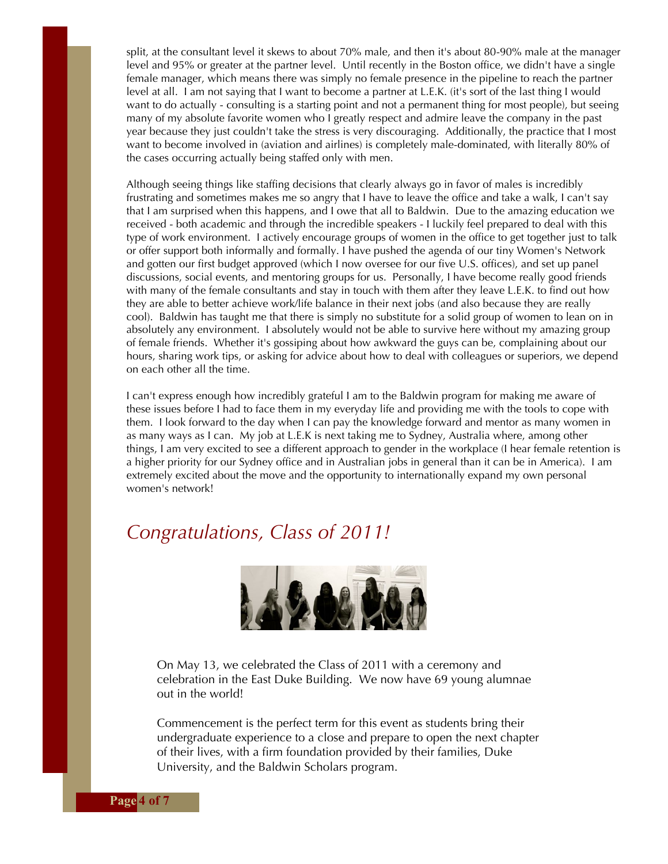split, at the consultant level it skews to about 70% male, and then it's about 80-90% male at the manager level and 95% or greater at the partner level. Until recently in the Boston office, we didn't have a single female manager, which means there was simply no female presence in the pipeline to reach the partner level at all. I am not saying that I want to become a partner at L.E.K. (it's sort of the last thing I would want to do actually - consulting is a starting point and not a permanent thing for most people), but seeing many of my absolute favorite women who I greatly respect and admire leave the company in the past year because they just couldn't take the stress is very discouraging. Additionally, the practice that I most want to become involved in (aviation and airlines) is completely male-dominated, with literally 80% of the cases occurring actually being staffed only with men.

Although seeing things like staffing decisions that clearly always go in favor of males is incredibly frustrating and sometimes makes me so angry that I have to leave the office and take a walk, I can't say that I am surprised when this happens, and I owe that all to Baldwin. Due to the amazing education we received - both academic and through the incredible speakers - I luckily feel prepared to deal with this type of work environment. I actively encourage groups of women in the office to get together just to talk or offer support both informally and formally. I have pushed the agenda of our tiny Women's Network and gotten our first budget approved (which I now oversee for our five U.S. offices), and set up panel discussions, social events, and mentoring groups for us. Personally, I have become really good friends with many of the female consultants and stay in touch with them after they leave L.E.K. to find out how they are able to better achieve work/life balance in their next jobs (and also because they are really cool). Baldwin has taught me that there is simply no substitute for a solid group of women to lean on in absolutely any environment. I absolutely would not be able to survive here without my amazing group of female friends. Whether it's gossiping about how awkward the guys can be, complaining about our hours, sharing work tips, or asking for advice about how to deal with colleagues or superiors, we depend on each other all the time.

I can't express enough how incredibly grateful I am to the Baldwin program for making me aware of these issues before I had to face them in my everyday life and providing me with the tools to cope with them. I look forward to the day when I can pay the knowledge forward and mentor as many women in as many ways as I can. My job at L.E.K is next taking me to Sydney, Australia where, among other things, I am very excited to see a different approach to gender in the workplace (I hear female retention is a higher priority for our Sydney office and in Australian jobs in general than it can be in America). I am extremely excited about the move and the opportunity to internationally expand my own personal women's network!

#### *Congratulations, Class of 2011!*



On May 13, we celebrated the Class of 2011 with a ceremony and celebration in the East Duke Building. We now have 69 young alumnae out in the world!

Commencement is the perfect term for this event as students bring their undergraduate experience to a close and prepare to open the next chapter of their lives, with a firm foundation provided by their families, Duke University, and the Baldwin Scholars program.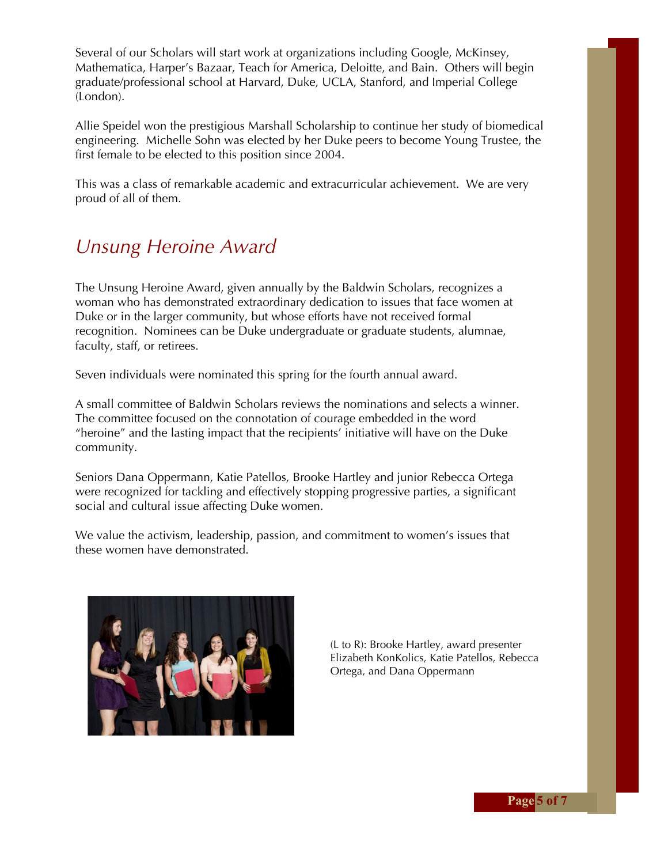Several of our Scholars will start work at organizations including Google, McKinsey, Mathematica, Harper's Bazaar, Teach for America, Deloitte, and Bain. Others will begin graduate/professional school at Harvard, Duke, UCLA, Stanford, and Imperial College (London).

Allie Speidel won the prestigious Marshall Scholarship to continue her study of biomedical engineering. Michelle Sohn was elected by her Duke peers to become Young Trustee, the first female to be elected to this position since 2004.

This was a class of remarkable academic and extracurricular achievement. We are very proud of all of them.

## *Unsung Heroine Award*

The Unsung Heroine Award, given annually by the Baldwin Scholars, recognizes a woman who has demonstrated extraordinary dedication to issues that face women at Duke or in the larger community, but whose efforts have not received formal recognition. Nominees can be Duke undergraduate or graduate students, alumnae, faculty, staff, or retirees.

Seven individuals were nominated this spring for the fourth annual award.

A small committee of Baldwin Scholars reviews the nominations and selects a winner. The committee focused on the connotation of courage embedded in the word "heroine" and the lasting impact that the recipients' initiative will have on the Duke community.

Seniors Dana Oppermann, Katie Patellos, Brooke Hartley and junior Rebecca Ortega were recognized for tackling and effectively stopping progressive parties, a significant social and cultural issue affecting Duke women.

We value the activism, leadership, passion, and commitment to women's issues that these women have demonstrated.



(L to R): Brooke Hartley, award presenter Elizabeth KonKolics, Katie Patellos, Rebecca Ortega, and Dana Oppermann

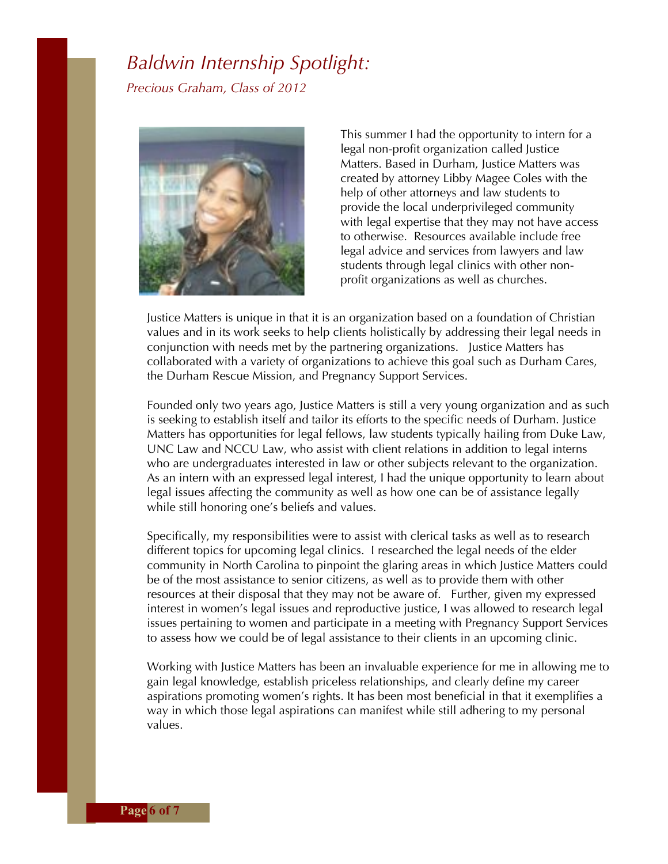#### *Baldwin Internship Spotlight: Precious Graham, Class of 2012*



This summer I had the opportunity to intern for a legal non-profit organization called Justice Matters. Based in Durham, Justice Matters was created by attorney Libby Magee Coles with the help of other attorneys and law students to provide the local underprivileged community with legal expertise that they may not have access to otherwise. Resources available include free legal advice and services from lawyers and law students through legal clinics with other nonprofit organizations as well as churches.

Justice Matters is unique in that it is an organization based on a foundation of Christian values and in its work seeks to help clients holistically by addressing their legal needs in conjunction with needs met by the partnering organizations. Justice Matters has collaborated with a variety of organizations to achieve this goal such as Durham Cares, the Durham Rescue Mission, and Pregnancy Support Services.

Founded only two years ago, Justice Matters is still a very young organization and as such is seeking to establish itself and tailor its efforts to the specific needs of Durham. Justice Matters has opportunities for legal fellows, law students typically hailing from Duke Law, UNC Law and NCCU Law, who assist with client relations in addition to legal interns who are undergraduates interested in law or other subjects relevant to the organization. As an intern with an expressed legal interest, I had the unique opportunity to learn about legal issues affecting the community as well as how one can be of assistance legally while still honoring one's beliefs and values.

Specifically, my responsibilities were to assist with clerical tasks as well as to research different topics for upcoming legal clinics. I researched the legal needs of the elder community in North Carolina to pinpoint the glaring areas in which Justice Matters could be of the most assistance to senior citizens, as well as to provide them with other resources at their disposal that they may not be aware of. Further, given my expressed interest in women's legal issues and reproductive justice, I was allowed to research legal issues pertaining to women and participate in a meeting with Pregnancy Support Services to assess how we could be of legal assistance to their clients in an upcoming clinic.

Working with Justice Matters has been an invaluable experience for me in allowing me to gain legal knowledge, establish priceless relationships, and clearly define my career aspirations promoting women's rights. It has been most beneficial in that it exemplifies a way in which those legal aspirations can manifest while still adhering to my personal values.